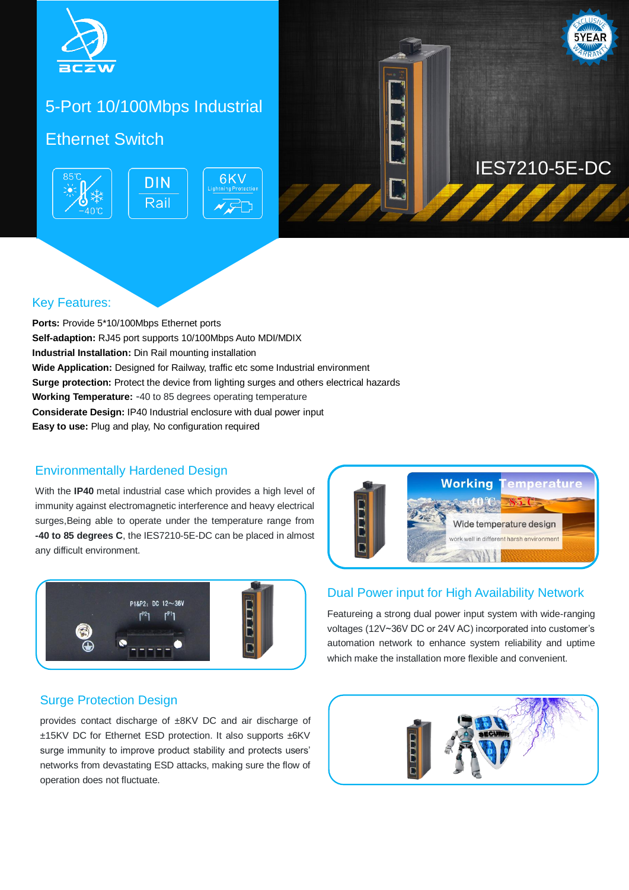

## 5-Port 10/100Mbps Industrial

### Ethernet Switch **Ethernet**





# **IES7210-5E-DC**

#### Key Features:

**Ports:** Provide 5\*10/100Mbps Ethernet ports **Self-adaption:** RJ45 port supports 10/100Mbps Auto MDI/MDIX **Industrial Installation:** Din Rail mounting installation **Wide Application:** Designed for Railway, traffic etc some Industrial environment **Surge protection:** Protect the device from lighting surges and others electrical hazards **Working Temperature:** -40 to 85 degrees operating temperature **Considerate Design:** IP40 Industrial enclosure with dual power input **Easy to use:** Plug and play, No configuration required

#### Environmentally Hardened Design

With the **IP40** metal industrial case which provides a high level of immunity against electromagnetic interference and heavy electrical surges,Being able to operate under the temperature range from **-40 to 85 degrees C**, the IES7210-5E-DC can be placed in almost any difficult environment.



### Surge Protection Design

provides contact discharge of ±8KV DC and air discharge of ±15KV DC for Ethernet ESD protection. It also supports ±6KV surge immunity to improve product stability and protects users' networks from devastating ESD attacks, making sure the flow of operation does not fluctuate.



#### Dual Power input for High Availability Network

Featureing a strong dual power input system with wide-ranging voltages (12V~36V DC or 24V AC) incorporated into customer's automation network to enhance system reliability and uptime which make the installation more flexible and convenient.

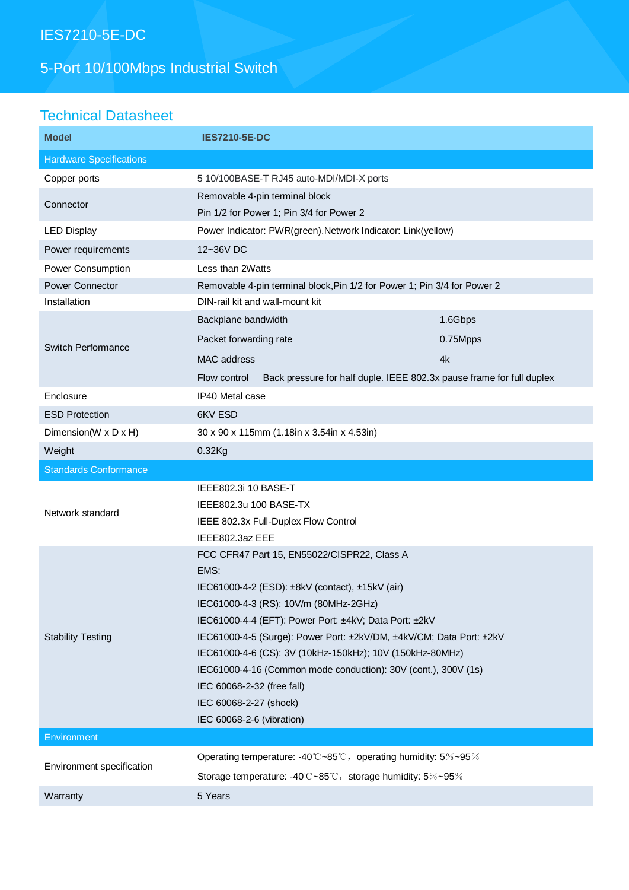# IES7210-5E-DC

# 5-Port 10/100Mbps Industrial Switch

# Technical Datasheet

| <b>Model</b>                   | <b>IES7210-5E-DC</b>                                                                         |          |
|--------------------------------|----------------------------------------------------------------------------------------------|----------|
| <b>Hardware Specifications</b> |                                                                                              |          |
| Copper ports                   | 5 10/100BASE-T RJ45 auto-MDI/MDI-X ports                                                     |          |
| Connector                      | Removable 4-pin terminal block                                                               |          |
|                                | Pin 1/2 for Power 1; Pin 3/4 for Power 2                                                     |          |
| <b>LED Display</b>             | Power Indicator: PWR(green).Network Indicator: Link(yellow)                                  |          |
| Power requirements             | 12~36V DC                                                                                    |          |
| Power Consumption              | Less than 2Watts                                                                             |          |
| <b>Power Connector</b>         | Removable 4-pin terminal block, Pin 1/2 for Power 1; Pin 3/4 for Power 2                     |          |
| Installation                   | DIN-rail kit and wall-mount kit                                                              |          |
| <b>Switch Performance</b>      | Backplane bandwidth                                                                          | 1.6Gbps  |
|                                | Packet forwarding rate                                                                       | 0.75Mpps |
|                                | MAC address                                                                                  | 4k       |
|                                | Back pressure for half duple. IEEE 802.3x pause frame for full duplex<br>Flow control        |          |
| Enclosure                      | IP40 Metal case                                                                              |          |
| <b>ESD Protection</b>          | 6KV ESD                                                                                      |          |
| Dimension(W x D x H)           | 30 x 90 x 115mm (1.18in x 3.54in x 4.53in)                                                   |          |
| Weight                         | $0.32$ Kg                                                                                    |          |
| <b>Standards Conformance</b>   |                                                                                              |          |
| Network standard               | IEEE802.3i 10 BASE-T                                                                         |          |
|                                | IEEE802.3u 100 BASE-TX                                                                       |          |
|                                | IEEE 802.3x Full-Duplex Flow Control                                                         |          |
|                                | IEEE802.3az EEE                                                                              |          |
|                                |                                                                                              |          |
|                                | FCC CFR47 Part 15, EN55022/CISPR22, Class A                                                  |          |
|                                | EMS:                                                                                         |          |
|                                | IEC61000-4-2 (ESD): ±8kV (contact), ±15kV (air)                                              |          |
|                                | IEC61000-4-3 (RS): 10V/m (80MHz-2GHz)                                                        |          |
|                                | IEC61000-4-4 (EFT): Power Port: ±4kV; Data Port: ±2kV                                        |          |
| <b>Stability Testing</b>       | IEC61000-4-5 (Surge): Power Port: ±2kV/DM, ±4kV/CM; Data Port: ±2kV                          |          |
|                                | IEC61000-4-6 (CS): 3V (10kHz-150kHz); 10V (150kHz-80MHz)                                     |          |
|                                | IEC61000-4-16 (Common mode conduction): 30V (cont.), 300V (1s)<br>IEC 60068-2-32 (free fall) |          |
|                                | IEC 60068-2-27 (shock)                                                                       |          |
|                                | IEC 60068-2-6 (vibration)                                                                    |          |
| Environment                    |                                                                                              |          |
|                                | Operating temperature: -40°C ~85°C, operating humidity: $5\%$ ~95%                           |          |
| Environment specification      | Storage temperature: -40°C~85°C, storage humidity: 5%~95%                                    |          |